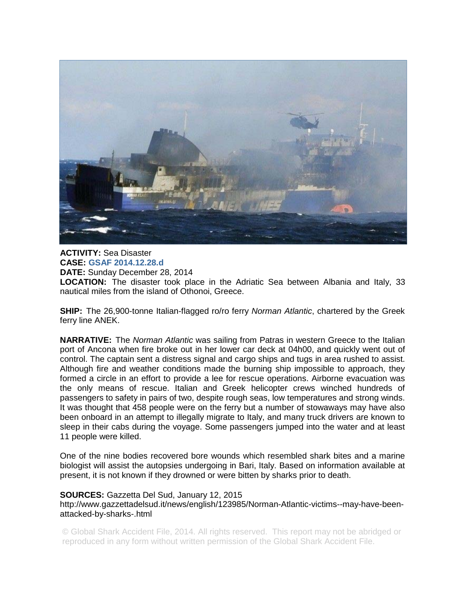

**ACTIVITY:** Sea Disaster **CASE: GSAF 2014.12.28.d DATE:** Sunday December 28, 2014 **LOCATION:** The disaster took place in the Adriatic Sea between Albania and Italy, 33 nautical miles from the island of Othonoi, Greece.

**SHIP:** The 26,900-tonne Italian-flagged ro/ro ferry *Norman Atlantic*, chartered by the Greek ferry line ANEK.

**NARRATIVE:** The *Norman Atlantic* was sailing from Patras in western Greece to the Italian port of Ancona when fire broke out in her lower car deck at 04h00, and quickly went out of control. The captain sent a distress signal and cargo ships and tugs in area rushed to assist. Although fire and weather conditions made the burning ship impossible to approach, they formed a circle in an effort to provide a lee for rescue operations. Airborne evacuation was the only means of rescue. Italian and Greek helicopter crews winched hundreds of passengers to safety in pairs of two, despite rough seas, low temperatures and strong winds. It was thought that 458 people were on the ferry but a number of stowaways may have also been onboard in an attempt to illegally migrate to Italy, and many truck drivers are known to sleep in their cabs during the voyage. Some passengers jumped into the water and at least 11 people were killed.

One of the nine bodies recovered bore wounds which resembled shark bites and a marine biologist will assist the autopsies undergoing in Bari, Italy. Based on information available at present, it is not known if they drowned or were bitten by sharks prior to death.

## **SOURCES:** Gazzetta Del Sud, January 12, 2015

http://www.gazzettadelsud.it/news/english/123985/Norman-Atlantic-victims--may-have-beenattacked-by-sharks-.html

© Global Shark Accident File, 2014. All rights reserved. This report may not be abridged or reproduced in any form without written permission of the Global Shark Accident File.